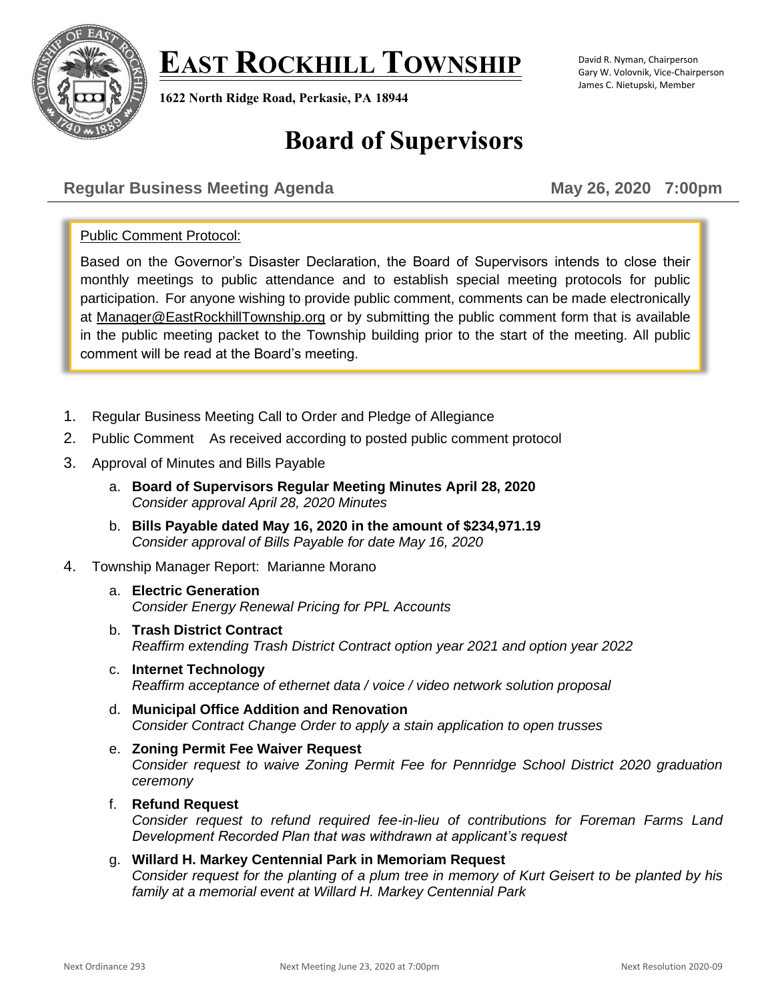# **EAST ROCKHILL TOWNSHIP**



**1622 North Ridge Road, Perkasie, PA 18944**

#### David R. Nyman, Chairperson Gary W. Volovnik, Vice-Chairperson James C. Nietupski, Member

# **Board of Supervisors**

# **Regular Business Meeting Agenda May 26, 2020 7:00pm**

# Public Comment Protocol:

Based on the Governor's Disaster Declaration, the Board of Supervisors intends to close their monthly meetings to public attendance and to establish special meeting protocols for public participation. For anyone wishing to provide public comment, comments can be made electronically at [Manager@EastRockhillTownship.org](mailto:Manager@EastRockhillTownship.org) or by submitting the public comment form that is available in the public meeting packet to the Township building prior to the start of the meeting. All public comment will be read at the Board's meeting.

- 1. Regular Business Meeting Call to Order and Pledge of Allegiance
- 2. Public Comment As received according to posted public comment protocol
- 3. Approval of Minutes and Bills Payable
	- a. **Board of Supervisors Regular Meeting Minutes April 28, 2020** *Consider approval April 28, 2020 Minutes*
	- b. **Bills Payable dated May 16, 2020 in the amount of \$234,971.19** *Consider approval of Bills Payable for date May 16, 2020*
- 4. Township Manager Report: Marianne Morano
	- a. **Electric Generation** *Consider Energy Renewal Pricing for PPL Accounts*
	- b. **Trash District Contract** *Reaffirm extending Trash District Contract option year 2021 and option year 2022*
	- c. **Internet Technology** *Reaffirm acceptance of ethernet data / voice / video network solution proposal*
	- d. **Municipal Office Addition and Renovation**  *Consider Contract Change Order to apply a stain application to open trusses*
	- e. **Zoning Permit Fee Waiver Request** *Consider request to waive Zoning Permit Fee for Pennridge School District 2020 graduation ceremony*
	- f. **Refund Request**

*Consider request to refund required fee-in-lieu of contributions for Foreman Farms Land Development Recorded Plan that was withdrawn at applicant's request*

g. **Willard H. Markey Centennial Park in Memoriam Request** *Consider request for the planting of a plum tree in memory of Kurt Geisert to be planted by his family at a memorial event at Willard H. Markey Centennial Park*